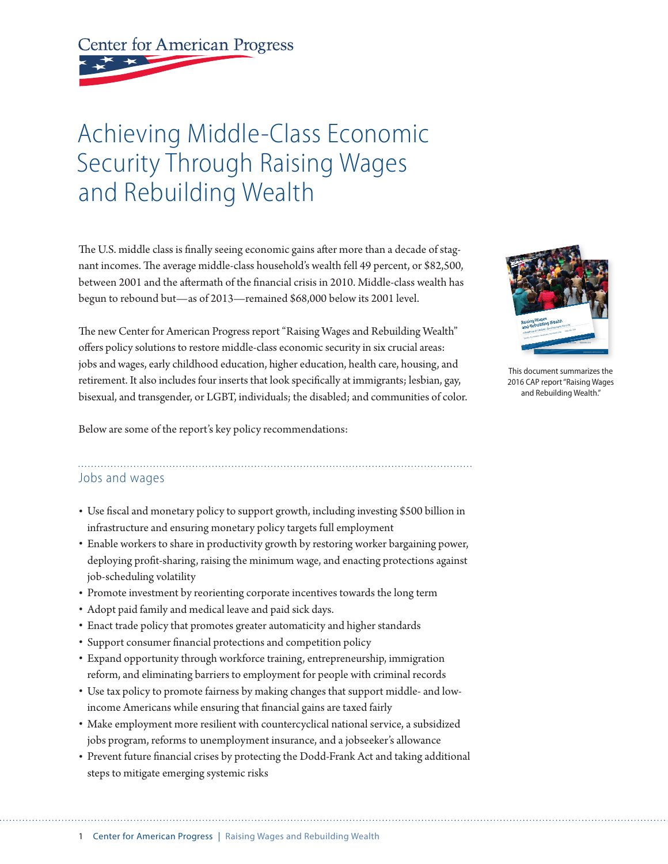**Center for American Progress** 

# Achieving Middle-Class Economic Security Through Raising Wages and Rebuilding Wealth

The U.S. middle class is finally seeing economic gains after more than a decade of stagnant incomes. The average middle-class household's wealth fell 49 percent, or \$82,500, between 2001 and the aftermath of the financial crisis in 2010. Middle-class wealth has begun to rebound but—as of 2013—remained \$68,000 below its 2001 level.

The new Center for American Progress report "Raising Wages and Rebuilding Wealth" offers policy solutions to restore middle-class economic security in six crucial areas: jobs and wages, early childhood education, higher education, health care, housing, and retirement. It also includes four inserts that look specifically at immigrants; lesbian, gay, bisexual, and transgender, or LGBT, individuals; the disabled; and communities of color.

Below are some of the report's key policy recommendations:

This document summarizes the 2016 CAP report "Raising Wages and Rebuilding Wealth."

#### Jobs and wages

- Use fiscal and monetary policy to support growth, including investing \$500 billion in infrastructure and ensuring monetary policy targets full employment
- Enable workers to share in productivity growth by restoring worker bargaining power, deploying profit-sharing, raising the minimum wage, and enacting protections against job-scheduling volatility
- Promote investment by reorienting corporate incentives towards the long term
- Adopt paid family and medical leave and paid sick days.
- Enact trade policy that promotes greater automaticity and higher standards
- Support consumer financial protections and competition policy
- Expand opportunity through workforce training, entrepreneurship, immigration reform, and eliminating barriers to employment for people with criminal records
- Use tax policy to promote fairness by making changes that support middle- and lowincome Americans while ensuring that financial gains are taxed fairly
- Make employment more resilient with countercyclical national service, a subsidized jobs program, reforms to unemployment insurance, and a jobseeker's allowance
- Prevent future financial crises by protecting the Dodd-Frank Act and taking additional steps to mitigate emerging systemic risks